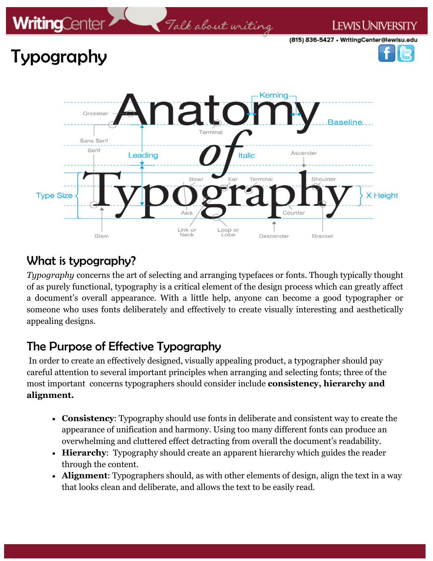

### What is typography?

*Typography* concerns the art of selecting and arranging typefaces or fonts. Though typically thought of as purely functional, typography is a critical element of the design process which can greatly affect a document's overall appearance. With a little help, anyone can become a good typographer or someone who uses fonts deliberately and effectively to create visually interesting and aesthetically appealing designs.

# The Purpose of Effective Typography

In order to create an effectively designed, visually appealing product, a typographer should pay careful attention to several important principles when arranging and selecting fonts; three of the most important concerns typographers should consider include **consistency, hierarchy and alignment.**

- **Consistency**: Typography should use fonts in deliberate and consistent way to create the appearance of unification and harmony. Using too many different fonts can produce an overwhelming and cluttered effect detracting from overall the document's readability.
- **Hierarchy**: Typography should create an apparent hierarchy which guides the reader through the content.
- **Alignment**: Typographers should, as with other elements of design, align the text in a way that looks clean and deliberate, and allows the text to be easily read.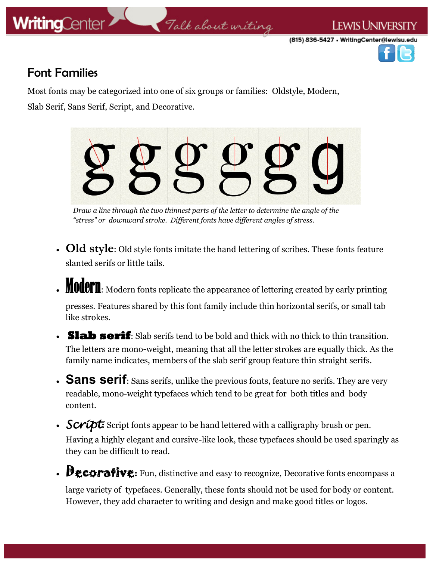

# Talk about writing

(815) 836-5427 • WritingCenter@lewisu.edu

I EWIS UNIVERSI



#### Font Families

Most fonts may be categorized into one of six groups or families: Oldstyle, Modern, Slab Serif, Sans Serif, Script, and Decorative.



*Draw a line through the two thinnest parts of the letter to determine the angle of the "stress" or downward stroke. Different fonts have different angles of stress.* 

- **Old style**: Old style fonts imitate the hand lettering of scribes. These fonts feature slanted serifs or little tails.
- **MOCOPTI:** Modern fonts replicate the appearance of lettering created by early printing

presses. Features shared by this font family include thin horizontal serifs, or small tab like strokes.

- **Slab serif**: Slab serifs tend to be bold and thick with no thick to thin transition. The letters are mono-weight, meaning that all the letter strokes are equally thick. As the family name indicates, members of the slab serif group feature thin straight serifs.
- **Sans serif**: Sans serifs, unlike the previous fonts, feature no serifs. They are very readable, mono-weight typefaces which tend to be great for both titles and body content.
- **Script:** Script fonts appear to be hand lettered with a calligraphy brush or pen. Having a highly elegant and cursive-like look, these typefaces should be used sparingly as they can be difficult to read.
- **Decorative:** Fun, distinctive and easy to recognize, Decorative fonts encompass a

large variety of typefaces. Generally, these fonts should not be used for body or content. However, they add character to writing and design and make good titles or logos.